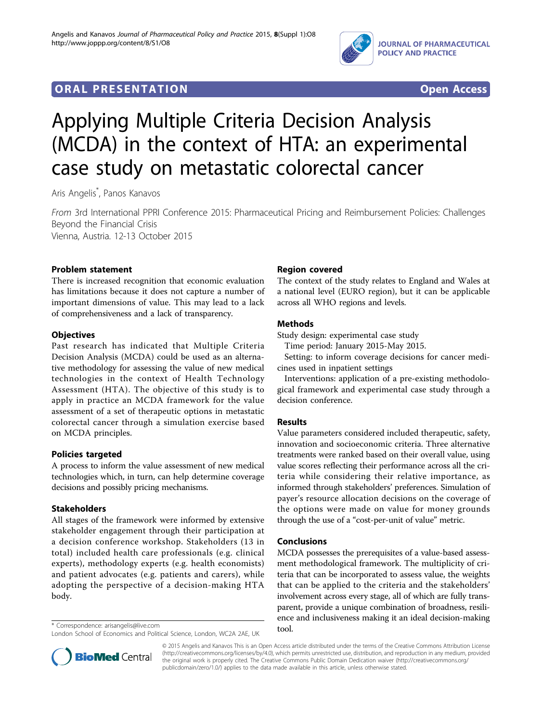

# **ORAL PRESENTATION CONSUMING ACCESS**



# Applying Multiple Criteria Decision Analysis (MCDA) in the context of HTA: an experimental case study on metastatic colorectal cancer

Aris Angelis\* , Panos Kanavos

From 3rd International PPRI Conference 2015: Pharmaceutical Pricing and Reimbursement Policies: Challenges Beyond the Financial Crisis Vienna, Austria. 12-13 October 2015

Problem statement

There is increased recognition that economic evaluation has limitations because it does not capture a number of important dimensions of value. This may lead to a lack of comprehensiveness and a lack of transparency.

## **Objectives**

Past research has indicated that Multiple Criteria Decision Analysis (MCDA) could be used as an alternative methodology for assessing the value of new medical technologies in the context of Health Technology Assessment (HTA). The objective of this study is to apply in practice an MCDA framework for the value assessment of a set of therapeutic options in metastatic colorectal cancer through a simulation exercise based on MCDA principles.

# Policies targeted

A process to inform the value assessment of new medical technologies which, in turn, can help determine coverage decisions and possibly pricing mechanisms.

#### Stakeholders

All stages of the framework were informed by extensive stakeholder engagement through their participation at a decision conference workshop. Stakeholders (13 in total) included health care professionals (e.g. clinical experts), methodology experts (e.g. health economists) and patient advocates (e.g. patients and carers), while adopting the perspective of a decision-making HTA body.



The context of the study relates to England and Wales at a national level (EURO region), but it can be applicable across all WHO regions and levels.

## Methods

Study design: experimental case study

Time period: January 2015-May 2015.

Setting: to inform coverage decisions for cancer medicines used in inpatient settings

Interventions: application of a pre-existing methodological framework and experimental case study through a decision conference.

#### Results

Value parameters considered included therapeutic, safety, innovation and socioeconomic criteria. Three alternative treatments were ranked based on their overall value, using value scores reflecting their performance across all the criteria while considering their relative importance, as informed through stakeholders' preferences. Simulation of payer's resource allocation decisions on the coverage of the options were made on value for money grounds through the use of a "cost-per-unit of value" metric.

#### Conclusions

MCDA possesses the prerequisites of a value-based assessment methodological framework. The multiplicity of criteria that can be incorporated to assess value, the weights that can be applied to the criteria and the stakeholders' involvement across every stage, all of which are fully transparent, provide a unique combination of broadness, resilience and inclusiveness making it an ideal decision-making



© 2015 Angelis and Kanavos This is an Open Access article distributed under the terms of the Creative Commons Attribution License [\(http://creativecommons.org/licenses/by/4.0](http://creativecommons.org/licenses/by/4.0)), which permits unrestricted use, distribution, and reproduction in any medium, provided the original work is properly cited. The Creative Commons Public Domain Dedication waiver ([http://creativecommons.org/](http://creativecommons.org/publicdomain/zero/1.0/) [publicdomain/zero/1.0/](http://creativecommons.org/publicdomain/zero/1.0/)) applies to the data made available in this article, unless otherwise stated

tool. \* Correspondence: [arisangelis@live.com](mailto:arisangelis@live.com) London School of Economics and Political Science, London, WC2A 2AE, UK